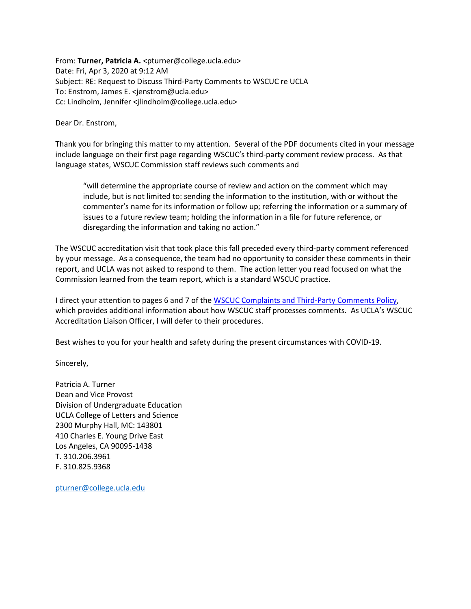From: Turner, Patricia A. <pturner@college.ucla.edu> Date: Fri, Apr 3, 2020 at 9:12 AM Subject: RE: Request to Discuss Third-Party Comments to WSCUC re UCLA To: Enstrom, James E. <jenstrom@ucla.edu> Cc: Lindholm, Jennifer <jlindholm@college.ucla.edu>

Dear Dr. Enstrom,

Thank you for bringing this matter to my attention. Several of the PDF documents cited in your message include language on their first page regarding WSCUC's third-party comment review process. As that language states, WSCUC Commission staff reviews such comments and

"will determine the appropriate course of review and action on the comment which may include, but is not limited to: sending the information to the institution, with or without the commenter's name for its information or follow up; referring the information or a summary of issues to a future review team; holding the information in a file for future reference, or disregarding the information and taking no action."

The WSCUC accreditation visit that took place this fall preceded every third-party comment referenced by your message. As a consequence, the team had no opportunity to consider these comments in their report, and UCLA was not asked to respond to them. The action letter you read focused on what the Commission learned from the team report, which is a standard WSCUC practice.

I direct your attention to pages 6 and 7 of th[e WSCUC Complaints and Third-Party Comments Policy,](https://www.wscuc.org/content/complaints-and-third-party-comments-policy) which provides additional information about how WSCUC staff processes comments. As UCLA's WSCUC Accreditation Liaison Officer, I will defer to their procedures.

Best wishes to you for your health and safety during the present circumstances with COVID-19.

Sincerely,

Patricia A. Turner Dean and Vice Provost Division of Undergraduate Education UCLA College of Letters and Science 2300 Murphy Hall, MC: 143801 410 Charles E. Young Drive East Los Angeles, CA 90095-1438 T. 310.206.3961 F. 310.825.9368

[pturner@college.ucla.edu](mailto:pturner@college.ucla.edu)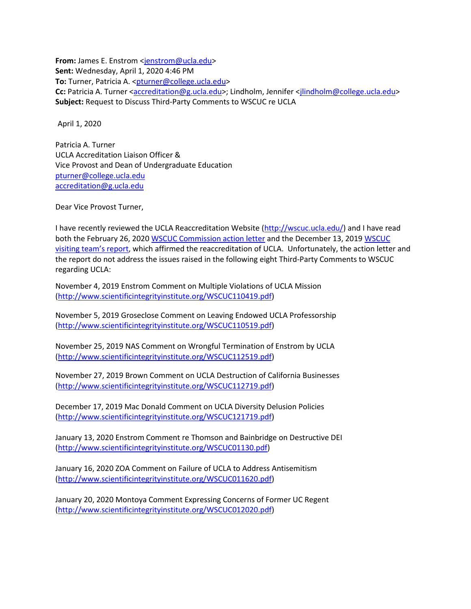**From:** James E. Enstrom [<jenstrom@ucla.edu>](mailto:jenstrom@ucla.edu) **Sent:** Wednesday, April 1, 2020 4:46 PM **To:** Turner, Patricia A. < pturner@college.ucla.edu> Cc: Patricia A. Turner [<accreditation@g.ucla.edu>](mailto:accreditation@g.ucla.edu); Lindholm, Jennifer [<jlindholm@college.ucla.edu>](mailto:jlindholm@college.ucla.edu) **Subject:** Request to Discuss Third-Party Comments to WSCUC re UCLA

April 1, 2020

Patricia A. Turner UCLA Accreditation Liaison Officer & Vice Provost and Dean of Undergraduate Education [pturner@college.ucla.edu](mailto:pturner@college.ucla.edu) [accreditation@g.ucla.edu](mailto:accreditation@g.ucla.edu)

Dear Vice Provost Turner,

I have recently reviewed the UCLA Reaccreditation Website [\(http://wscuc.ucla.edu/\)](http://wscuc.ucla.edu/) and I have read both the February 26, 202[0 WSCUC Commission action letter](http://wscuc.ucla.edu/wp-content/uploads/2020/02/CAL_200226_UCLA_AV.pdf) and the December 13, 201[9 WSCUC](http://wscuc.ucla.edu/wp-content/uploads/2020/02/UCLA-Team-Report-AV-fall-2019.pdf)  [visiting team's report](http://wscuc.ucla.edu/wp-content/uploads/2020/02/UCLA-Team-Report-AV-fall-2019.pdf), which affirmed the reaccreditation of UCLA. Unfortunately, the action letter and the report do not address the issues raised in the following eight Third-Party Comments to WSCUC regarding UCLA:

November 4, 2019 Enstrom Comment on Multiple Violations of UCLA Mission [\(http://www.scientificintegrityinstitute.org/WSCUC110419.pdf\)](http://scientificintegrityinstitute.org/WSCUC110419.pdf)

November 5, 2019 Groseclose Comment on Leaving Endowed UCLA Professorship [\(http://www.scientificintegrityinstitute.org/WSCUC110519.pdf\)](http://scientificintegrityinstitute.org/WSCUC110519.pdf)

November 25, 2019 NAS Comment on Wrongful Termination of Enstrom by UCLA [\(http://www.scientificintegrityinstitute.org/WSCUC112519.pdf\)](http://scientificintegrityinstitute.org/WSCUC112519.pdf)

November 27, 2019 Brown Comment on UCLA Destruction of California Businesses [\(http://www.scientificintegrityinstitute.org/WSCUC112719.pdf\)](http://scientificintegrityinstitute.org/WSCUC112719.pdf)

December 17, 2019 Mac Donald Comment on UCLA Diversity Delusion Policies [\(http://www.scientificintegrityinstitute.org/WSCUC121719.pdf\)](http://scientificintegrityinstitute.org/WSCUC121719.pdf)

January 13, 2020 Enstrom Comment re Thomson and Bainbridge on Destructive DEI [\(http://www.scientificintegrityinstitute.org/WSCUC01130.pdf\)](http://scientificintegrityinstitute.org/WSCUC011320.pdf)

January 16, 2020 ZOA Comment on Failure of UCLA to Address Antisemitism [\(http://www.scientificintegrityinstitute.org/WSCUC011620.pdf\)](http://scientificintegrityinstitute.org/WSCUC011620.pdf)

January 20, 2020 Montoya Comment Expressing Concerns of Former UC Regent [\(http://www.scientificintegrityinstitute.org/WSCUC012020.pdf\)](http://scientificintegrityinstitute.org/WSCUC012020.pdf)